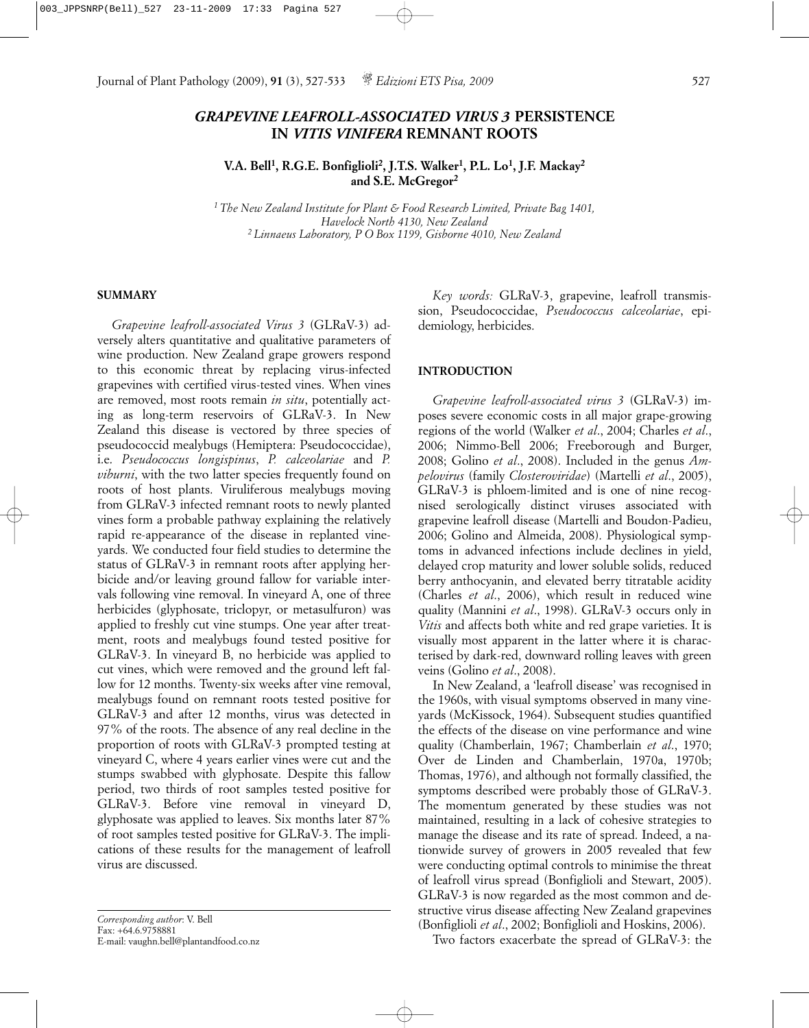# *GRAPEVINE LEAFROLL-ASSOCIATED VIRUS 3* **PERSISTENCE IN** *VITIS VINIFERA* **REMNANT ROOTS**

**V.A. Bell1, R.G.E. Bonfiglioli2, J.T.S. Walker1, P.L. Lo1, J.F. Mackay2 and S.E. McGregor2**

*1 The New Zealand Institute for Plant & Food Research Limited, Private Bag 1401, Havelock North 4130, New Zealand 2 Linnaeus Laboratory, P O Box 1199, Gisborne 4010, New Zealand*

### **SUMMARY**

*Grapevine leafroll-associated Virus 3* (GLRaV-3) adversely alters quantitative and qualitative parameters of wine production. New Zealand grape growers respond to this economic threat by replacing virus-infected grapevines with certified virus-tested vines. When vines are removed, most roots remain *in situ*, potentially acting as long-term reservoirs of GLRaV-3. In New Zealand this disease is vectored by three species of pseudococcid mealybugs (Hemiptera: Pseudococcidae), i.e. *Pseudococcus longispinus*, *P. calceolariae* and *P. viburni*, with the two latter species frequently found on roots of host plants. Viruliferous mealybugs moving from GLRaV-3 infected remnant roots to newly planted vines form a probable pathway explaining the relatively rapid re-appearance of the disease in replanted vineyards. We conducted four field studies to determine the status of GLRaV-3 in remnant roots after applying herbicide and/or leaving ground fallow for variable intervals following vine removal. In vineyard A, one of three herbicides (glyphosate, triclopyr, or metasulfuron) was applied to freshly cut vine stumps. One year after treatment, roots and mealybugs found tested positive for GLRaV-3. In vineyard B, no herbicide was applied to cut vines, which were removed and the ground left fallow for 12 months. Twenty-six weeks after vine removal, mealybugs found on remnant roots tested positive for GLRaV-3 and after 12 months, virus was detected in 97% of the roots. The absence of any real decline in the proportion of roots with GLRaV-3 prompted testing at vineyard C, where 4 years earlier vines were cut and the stumps swabbed with glyphosate. Despite this fallow period, two thirds of root samples tested positive for GLRaV-3. Before vine removal in vineyard D, glyphosate was applied to leaves. Six months later 87% of root samples tested positive for GLRaV-3. The implications of these results for the management of leafroll virus are discussed.

*Corresponding author*: V. Bell Fax: +64.6.9758881 E-mail: vaughn.bell@plantandfood.co.nz

*Key words:* GLRaV-3, grapevine, leafroll transmission, Pseudococcidae, *Pseudococcus calceolariae*, epidemiology, herbicides.

## **INTRODUCTION**

*Grapevine leafroll-associated virus 3* (GLRaV-3) imposes severe economic costs in all major grape-growing regions of the world (Walker *et al*., 2004; Charles *et al*., 2006; Nimmo-Bell 2006; Freeborough and Burger, 2008; Golino *et al*., 2008). Included in the genus *Ampelovirus* (family *Closteroviridae*) (Martelli *et al*., 2005), GLRaV-3 is phloem-limited and is one of nine recognised serologically distinct viruses associated with grapevine leafroll disease (Martelli and Boudon-Padieu, 2006; Golino and Almeida, 2008). Physiological symptoms in advanced infections include declines in yield, delayed crop maturity and lower soluble solids, reduced berry anthocyanin, and elevated berry titratable acidity (Charles *et al*., 2006), which result in reduced wine quality (Mannini *et al*., 1998). GLRaV-3 occurs only in *Vitis* and affects both white and red grape varieties. It is visually most apparent in the latter where it is characterised by dark-red, downward rolling leaves with green veins (Golino *et al*., 2008).

In New Zealand, a 'leafroll disease' was recognised in the 1960s, with visual symptoms observed in many vineyards (McKissock, 1964). Subsequent studies quantified the effects of the disease on vine performance and wine quality (Chamberlain, 1967; Chamberlain *et al*., 1970; Over de Linden and Chamberlain, 1970a, 1970b; Thomas, 1976), and although not formally classified, the symptoms described were probably those of GLRaV-3. The momentum generated by these studies was not maintained, resulting in a lack of cohesive strategies to manage the disease and its rate of spread. Indeed, a nationwide survey of growers in 2005 revealed that few were conducting optimal controls to minimise the threat of leafroll virus spread (Bonfiglioli and Stewart, 2005). GLRaV-3 is now regarded as the most common and destructive virus disease affecting New Zealand grapevines (Bonfiglioli *et al*., 2002; Bonfiglioli and Hoskins, 2006).

Two factors exacerbate the spread of GLRaV-3: the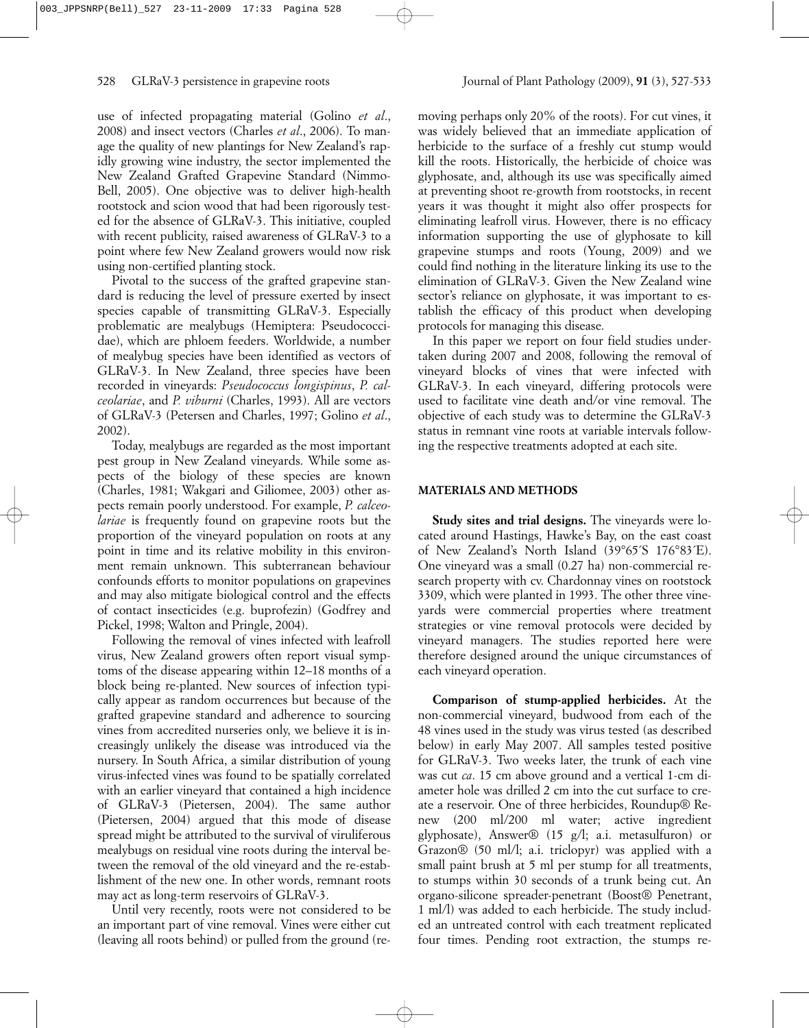use of infected propagating material (Golino *et al*., 2008) and insect vectors (Charles *et al*., 2006). To manage the quality of new plantings for New Zealand's rapidly growing wine industry, the sector implemented the New Zealand Grafted Grapevine Standard (Nimmo-Bell, 2005). One objective was to deliver high-health rootstock and scion wood that had been rigorously tested for the absence of GLRaV-3. This initiative, coupled with recent publicity, raised awareness of GLRaV-3 to a point where few New Zealand growers would now risk using non-certified planting stock.

Pivotal to the success of the grafted grapevine standard is reducing the level of pressure exerted by insect species capable of transmitting GLRaV-3. Especially problematic are mealybugs (Hemiptera: Pseudococcidae), which are phloem feeders. Worldwide, a number of mealybug species have been identified as vectors of GLRaV-3. In New Zealand, three species have been recorded in vineyards: *Pseudococcus longispinus*, *P. calceolariae*, and *P. viburni* (Charles, 1993). All are vectors of GLRaV-3 (Petersen and Charles, 1997; Golino *et al*., 2002).

Today, mealybugs are regarded as the most important pest group in New Zealand vineyards. While some aspects of the biology of these species are known (Charles, 1981; Wakgari and Giliomee, 2003) other aspects remain poorly understood. For example, *P. calceolariae* is frequently found on grapevine roots but the proportion of the vineyard population on roots at any point in time and its relative mobility in this environment remain unknown. This subterranean behaviour confounds efforts to monitor populations on grapevines and may also mitigate biological control and the effects of contact insecticides (e.g. buprofezin) (Godfrey and Pickel, 1998; Walton and Pringle, 2004).

Following the removal of vines infected with leafroll virus, New Zealand growers often report visual symptoms of the disease appearing within 12–18 months of a block being re-planted. New sources of infection typically appear as random occurrences but because of the grafted grapevine standard and adherence to sourcing vines from accredited nurseries only, we believe it is increasingly unlikely the disease was introduced via the nursery. In South Africa, a similar distribution of young virus-infected vines was found to be spatially correlated with an earlier vineyard that contained a high incidence of GLRaV-3 (Pietersen, 2004). The same author (Pietersen, 2004) argued that this mode of disease spread might be attributed to the survival of viruliferous mealybugs on residual vine roots during the interval between the removal of the old vineyard and the re-establishment of the new one. In other words, remnant roots may act as long-term reservoirs of GLRaV-3.

Until very recently, roots were not considered to be an important part of vine removal. Vines were either cut (leaving all roots behind) or pulled from the ground (re-

moving perhaps only 20% of the roots). For cut vines, it was widely believed that an immediate application of herbicide to the surface of a freshly cut stump would kill the roots. Historically, the herbicide of choice was glyphosate, and, although its use was specifically aimed at preventing shoot re-growth from rootstocks, in recent years it was thought it might also offer prospects for eliminating leafroll virus. However, there is no efficacy information supporting the use of glyphosate to kill grapevine stumps and roots (Young, 2009) and we could find nothing in the literature linking its use to the elimination of GLRaV-3. Given the New Zealand wine sector's reliance on glyphosate, it was important to establish the efficacy of this product when developing protocols for managing this disease.

In this paper we report on four field studies undertaken during 2007 and 2008, following the removal of vineyard blocks of vines that were infected with GLRaV-3. In each vineyard, differing protocols were used to facilitate vine death and/or vine removal. The objective of each study was to determine the GLRaV-3 status in remnant vine roots at variable intervals following the respective treatments adopted at each site.

# **MATERIALS AND METHODS**

**Study sites and trial designs.** The vineyards were located around Hastings, Hawke's Bay, on the east coast of New Zealand's North Island (39°65´S 176°83´E). One vineyard was a small (0.27 ha) non-commercial research property with cv. Chardonnay vines on rootstock 3309, which were planted in 1993. The other three vineyards were commercial properties where treatment strategies or vine removal protocols were decided by vineyard managers. The studies reported here were therefore designed around the unique circumstances of each vineyard operation.

**Comparison of stump-applied herbicides.** At the non-commercial vineyard, budwood from each of the 48 vines used in the study was virus tested (as described below) in early May 2007. All samples tested positive for GLRaV-3. Two weeks later, the trunk of each vine was cut *ca*. 15 cm above ground and a vertical 1-cm diameter hole was drilled 2 cm into the cut surface to create a reservoir. One of three herbicides, Roundup® Renew (200 ml/200 ml water; active ingredient glyphosate), Answer® (15 g/l; a.i. metasulfuron) or Grazon® (50 ml/l; a.i. triclopyr) was applied with a small paint brush at 5 ml per stump for all treatments, to stumps within 30 seconds of a trunk being cut. An organo-silicone spreader-penetrant (Boost® Penetrant, 1 ml/l) was added to each herbicide. The study included an untreated control with each treatment replicated four times. Pending root extraction, the stumps re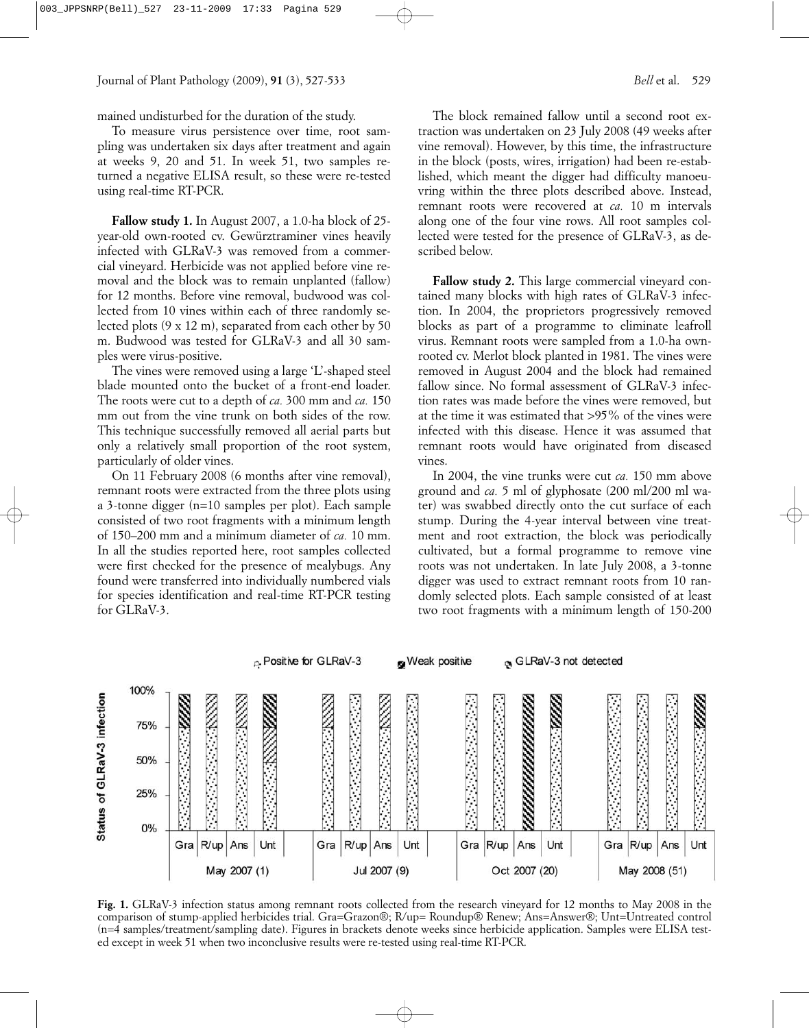mained undisturbed for the duration of the study.

To measure virus persistence over time, root sampling was undertaken six days after treatment and again at weeks 9, 20 and 51. In week 51, two samples returned a negative ELISA result, so these were re-tested using real-time RT-PCR.

**Fallow study 1.** In August 2007, a 1.0-ha block of 25 year-old own-rooted cv. Gewürztraminer vines heavily infected with GLRaV-3 was removed from a commercial vineyard. Herbicide was not applied before vine removal and the block was to remain unplanted (fallow) for 12 months. Before vine removal, budwood was collected from 10 vines within each of three randomly selected plots (9 x 12 m), separated from each other by 50 m. Budwood was tested for GLRaV-3 and all 30 samples were virus-positive.

The vines were removed using a large 'L'-shaped steel blade mounted onto the bucket of a front-end loader. The roots were cut to a depth of *ca.* 300 mm and *ca.* 150 mm out from the vine trunk on both sides of the row. This technique successfully removed all aerial parts but only a relatively small proportion of the root system, particularly of older vines.

On 11 February 2008 (6 months after vine removal), remnant roots were extracted from the three plots using a 3-tonne digger (n=10 samples per plot). Each sample consisted of two root fragments with a minimum length of 150–200 mm and a minimum diameter of *ca.* 10 mm. In all the studies reported here, root samples collected were first checked for the presence of mealybugs. Any found were transferred into individually numbered vials for species identification and real-time RT-PCR testing for GLRaV-3.

The block remained fallow until a second root extraction was undertaken on 23 July 2008 (49 weeks after vine removal). However, by this time, the infrastructure in the block (posts, wires, irrigation) had been re-established, which meant the digger had difficulty manoeuvring within the three plots described above. Instead, remnant roots were recovered at *ca.* 10 m intervals along one of the four vine rows. All root samples collected were tested for the presence of GLRaV-3, as described below.

**Fallow study 2.** This large commercial vineyard contained many blocks with high rates of GLRaV-3 infection. In 2004, the proprietors progressively removed blocks as part of a programme to eliminate leafroll virus. Remnant roots were sampled from a 1.0-ha ownrooted cv. Merlot block planted in 1981. The vines were removed in August 2004 and the block had remained fallow since. No formal assessment of GLRaV-3 infection rates was made before the vines were removed, but at the time it was estimated that >95% of the vines were infected with this disease. Hence it was assumed that remnant roots would have originated from diseased vines.

In 2004, the vine trunks were cut *ca.* 150 mm above ground and *ca.* 5 ml of glyphosate (200 ml/200 ml water) was swabbed directly onto the cut surface of each stump. During the 4-year interval between vine treatment and root extraction, the block was periodically cultivated, but a formal programme to remove vine roots was not undertaken. In late July 2008, a 3-tonne digger was used to extract remnant roots from 10 randomly selected plots. Each sample consisted of at least two root fragments with a minimum length of 150-200



**Fig. 1.** GLRaV-3 infection status among remnant roots collected from the research vineyard for 12 months to May 2008 in the comparison of stump-applied herbicides trial. Gra=Grazon®; R/up= Roundup® Renew; Ans=Answer®; Unt=Untreated control (n=4 samples/treatment/sampling date). Figures in brackets denote weeks since herbicide application. Samples were ELISA tested except in week 51 when two inconclusive results were re-tested using real-time RT-PCR.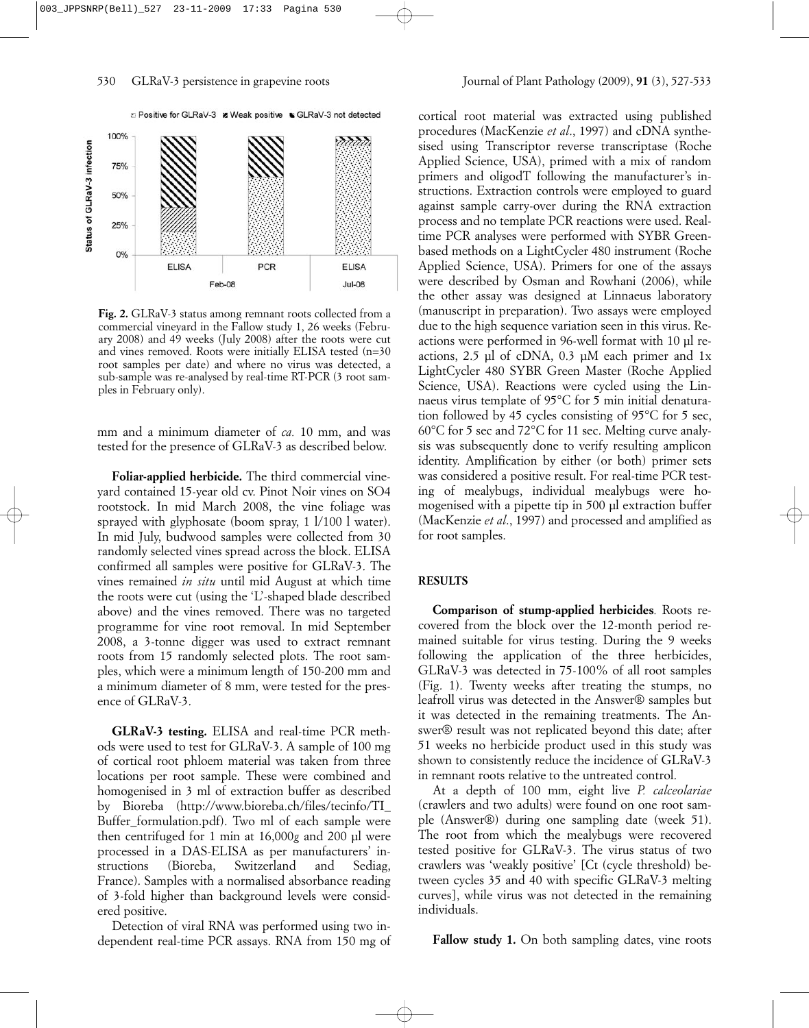

**Fig. 2.** GLRaV-3 status among remnant roots collected from a commercial vineyard in the Fallow study 1, 26 weeks (February 2008) and 49 weeks (July 2008) after the roots were cut and vines removed. Roots were initially ELISA tested (n=30 root samples per date) and where no virus was detected, a sub-sample was re-analysed by real-time RT-PCR (3 root samples in February only).

mm and a minimum diameter of *ca.* 10 mm, and was tested for the presence of GLRaV-3 as described below.

**Foliar-applied herbicide.** The third commercial vineyard contained 15-year old cv. Pinot Noir vines on SO4 rootstock. In mid March 2008, the vine foliage was sprayed with glyphosate (boom spray, 1 l/100 l water). In mid July, budwood samples were collected from 30 randomly selected vines spread across the block. ELISA confirmed all samples were positive for GLRaV-3. The vines remained *in situ* until mid August at which time the roots were cut (using the 'L'-shaped blade described above) and the vines removed. There was no targeted programme for vine root removal. In mid September 2008, a 3-tonne digger was used to extract remnant roots from 15 randomly selected plots. The root samples, which were a minimum length of 150-200 mm and a minimum diameter of 8 mm, were tested for the presence of GLRaV-3.

**GLRaV-3 testing.** ELISA and real-time PCR methods were used to test for GLRaV-3. A sample of 100 mg of cortical root phloem material was taken from three locations per root sample. These were combined and homogenised in 3 ml of extraction buffer as described by Bioreba (http://www.bioreba.ch/files/tecinfo/TI\_ Buffer\_formulation.pdf). Two ml of each sample were then centrifuged for 1 min at 16,000*g* and 200 µl were processed in a DAS-ELISA as per manufacturers' instructions (Bioreba, Switzerland and Sediag, France). Samples with a normalised absorbance reading of 3-fold higher than background levels were considered positive.

Detection of viral RNA was performed using two independent real-time PCR assays. RNA from 150 mg of

cortical root material was extracted using published procedures (MacKenzie *et al*., 1997) and cDNA synthesised using Transcriptor reverse transcriptase (Roche Applied Science, USA), primed with a mix of random primers and oligodT following the manufacturer's instructions. Extraction controls were employed to guard against sample carry-over during the RNA extraction process and no template PCR reactions were used. Realtime PCR analyses were performed with SYBR Greenbased methods on a LightCycler 480 instrument (Roche Applied Science, USA). Primers for one of the assays were described by Osman and Rowhani (2006), while the other assay was designed at Linnaeus laboratory (manuscript in preparation). Two assays were employed due to the high sequence variation seen in this virus. Reactions were performed in 96-well format with 10 µl reactions, 2.5 µl of cDNA, 0.3 µM each primer and 1x LightCycler 480 SYBR Green Master (Roche Applied Science, USA). Reactions were cycled using the Linnaeus virus template of 95°C for 5 min initial denaturation followed by 45 cycles consisting of 95°C for 5 sec, 60°C for 5 sec and 72°C for 11 sec. Melting curve analysis was subsequently done to verify resulting amplicon identity. Amplification by either (or both) primer sets was considered a positive result. For real-time PCR testing of mealybugs, individual mealybugs were homogenised with a pipette tip in 500 µl extraction buffer (MacKenzie *et al*., 1997) and processed and amplified as for root samples.

#### **RESULTS**

**Comparison of stump-applied herbicides***.* Roots recovered from the block over the 12-month period remained suitable for virus testing. During the 9 weeks following the application of the three herbicides, GLRaV-3 was detected in 75-100% of all root samples (Fig. 1). Twenty weeks after treating the stumps, no leafroll virus was detected in the Answer® samples but it was detected in the remaining treatments. The Answer® result was not replicated beyond this date; after 51 weeks no herbicide product used in this study was shown to consistently reduce the incidence of GLRaV-3 in remnant roots relative to the untreated control.

At a depth of 100 mm, eight live *P. calceolariae* (crawlers and two adults) were found on one root sample (Answer®) during one sampling date (week 51). The root from which the mealybugs were recovered tested positive for GLRaV-3. The virus status of two crawlers was 'weakly positive' [Ct (cycle threshold) between cycles 35 and 40 with specific GLRaV-3 melting curves], while virus was not detected in the remaining individuals.

Fallow study 1. On both sampling dates, vine roots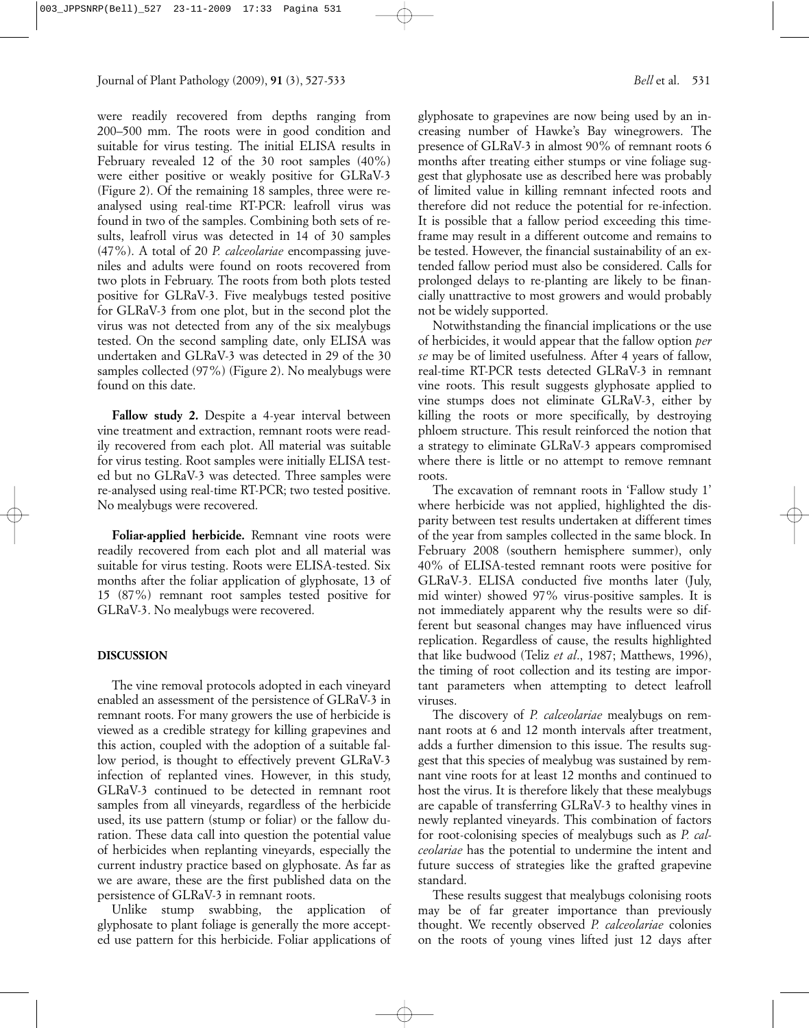were readily recovered from depths ranging from 200–500 mm. The roots were in good condition and suitable for virus testing. The initial ELISA results in February revealed 12 of the 30 root samples (40%) were either positive or weakly positive for GLRaV-3 (Figure 2). Of the remaining 18 samples, three were reanalysed using real-time RT-PCR: leafroll virus was found in two of the samples. Combining both sets of results, leafroll virus was detected in 14 of 30 samples (47%). A total of 20 *P. calceolariae* encompassing juveniles and adults were found on roots recovered from two plots in February. The roots from both plots tested positive for GLRaV-3. Five mealybugs tested positive for GLRaV-3 from one plot, but in the second plot the virus was not detected from any of the six mealybugs tested. On the second sampling date, only ELISA was undertaken and GLRaV-3 was detected in 29 of the 30 samples collected (97%) (Figure 2). No mealybugs were found on this date.

Fallow study 2. Despite a 4-year interval between vine treatment and extraction, remnant roots were readily recovered from each plot. All material was suitable for virus testing. Root samples were initially ELISA tested but no GLRaV-3 was detected. Three samples were re-analysed using real-time RT-PCR; two tested positive. No mealybugs were recovered.

**Foliar-applied herbicide.** Remnant vine roots were readily recovered from each plot and all material was suitable for virus testing. Roots were ELISA-tested. Six months after the foliar application of glyphosate, 13 of 15 (87%) remnant root samples tested positive for GLRaV-3. No mealybugs were recovered.

#### **DISCUSSION**

The vine removal protocols adopted in each vineyard enabled an assessment of the persistence of GLRaV-3 in remnant roots. For many growers the use of herbicide is viewed as a credible strategy for killing grapevines and this action, coupled with the adoption of a suitable fallow period, is thought to effectively prevent GLRaV-3 infection of replanted vines. However, in this study, GLRaV-3 continued to be detected in remnant root samples from all vineyards, regardless of the herbicide used, its use pattern (stump or foliar) or the fallow duration. These data call into question the potential value of herbicides when replanting vineyards, especially the current industry practice based on glyphosate. As far as we are aware, these are the first published data on the persistence of GLRaV-3 in remnant roots.

Unlike stump swabbing, the application of glyphosate to plant foliage is generally the more accepted use pattern for this herbicide. Foliar applications of glyphosate to grapevines are now being used by an increasing number of Hawke's Bay winegrowers. The presence of GLRaV-3 in almost 90% of remnant roots 6 months after treating either stumps or vine foliage suggest that glyphosate use as described here was probably of limited value in killing remnant infected roots and therefore did not reduce the potential for re-infection. It is possible that a fallow period exceeding this timeframe may result in a different outcome and remains to be tested. However, the financial sustainability of an extended fallow period must also be considered. Calls for prolonged delays to re-planting are likely to be financially unattractive to most growers and would probably not be widely supported.

Notwithstanding the financial implications or the use of herbicides, it would appear that the fallow option *per se* may be of limited usefulness. After 4 years of fallow, real-time RT-PCR tests detected GLRaV-3 in remnant vine roots. This result suggests glyphosate applied to vine stumps does not eliminate GLRaV-3, either by killing the roots or more specifically, by destroying phloem structure. This result reinforced the notion that a strategy to eliminate GLRaV-3 appears compromised where there is little or no attempt to remove remnant roots.

The excavation of remnant roots in 'Fallow study 1' where herbicide was not applied, highlighted the disparity between test results undertaken at different times of the year from samples collected in the same block. In February 2008 (southern hemisphere summer), only 40% of ELISA-tested remnant roots were positive for GLRaV-3. ELISA conducted five months later (July, mid winter) showed 97% virus-positive samples. It is not immediately apparent why the results were so different but seasonal changes may have influenced virus replication. Regardless of cause, the results highlighted that like budwood (Teliz *et al*., 1987; Matthews, 1996), the timing of root collection and its testing are important parameters when attempting to detect leafroll viruses.

The discovery of *P. calceolariae* mealybugs on remnant roots at 6 and 12 month intervals after treatment, adds a further dimension to this issue. The results suggest that this species of mealybug was sustained by remnant vine roots for at least 12 months and continued to host the virus. It is therefore likely that these mealybugs are capable of transferring GLRaV-3 to healthy vines in newly replanted vineyards. This combination of factors for root-colonising species of mealybugs such as *P. calceolariae* has the potential to undermine the intent and future success of strategies like the grafted grapevine standard.

These results suggest that mealybugs colonising roots may be of far greater importance than previously thought. We recently observed *P. calceolariae* colonies on the roots of young vines lifted just 12 days after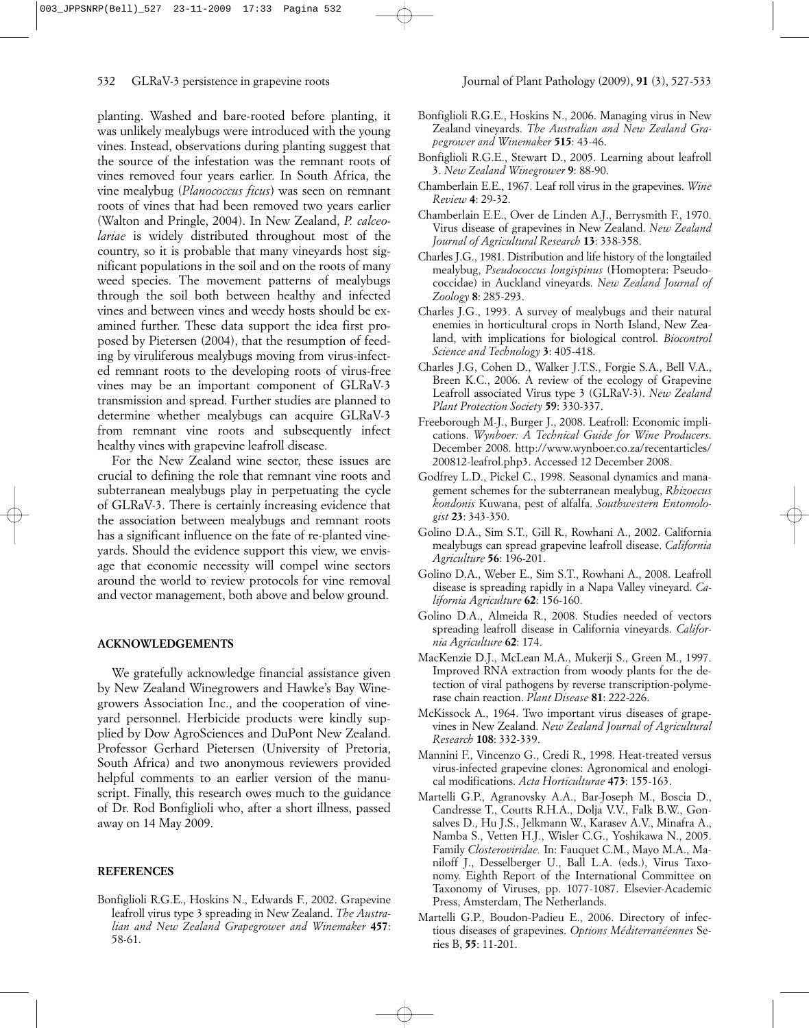planting. Washed and bare-rooted before planting, it was unlikely mealybugs were introduced with the young vines. Instead, observations during planting suggest that the source of the infestation was the remnant roots of vines removed four years earlier. In South Africa, the vine mealybug (*Planococcus ficus*) was seen on remnant roots of vines that had been removed two years earlier (Walton and Pringle, 2004). In New Zealand, *P. calceolariae* is widely distributed throughout most of the country, so it is probable that many vineyards host significant populations in the soil and on the roots of many weed species. The movement patterns of mealybugs through the soil both between healthy and infected vines and between vines and weedy hosts should be examined further. These data support the idea first proposed by Pietersen (2004), that the resumption of feeding by viruliferous mealybugs moving from virus-infected remnant roots to the developing roots of virus-free vines may be an important component of GLRaV-3 transmission and spread. Further studies are planned to determine whether mealybugs can acquire GLRaV-3 from remnant vine roots and subsequently infect healthy vines with grapevine leafroll disease.

For the New Zealand wine sector, these issues are crucial to defining the role that remnant vine roots and subterranean mealybugs play in perpetuating the cycle of GLRaV-3. There is certainly increasing evidence that the association between mealybugs and remnant roots has a significant influence on the fate of re-planted vineyards. Should the evidence support this view, we envisage that economic necessity will compel wine sectors around the world to review protocols for vine removal and vector management, both above and below ground.

#### **ACKNOWLEDGEMENTS**

We gratefully acknowledge financial assistance given by New Zealand Winegrowers and Hawke's Bay Winegrowers Association Inc., and the cooperation of vineyard personnel. Herbicide products were kindly supplied by Dow AgroSciences and DuPont New Zealand. Professor Gerhard Pietersen (University of Pretoria, South Africa) and two anonymous reviewers provided helpful comments to an earlier version of the manuscript. Finally, this research owes much to the guidance of Dr. Rod Bonfiglioli who, after a short illness, passed away on 14 May 2009.

#### **REFERENCES**

Bonfiglioli R.G.E., Hoskins N., Edwards F., 2002. Grapevine leafroll virus type 3 spreading in New Zealand. *The Australian and New Zealand Grapegrower and Winemaker* **457**: 58-61.

- Bonfiglioli R.G.E., Hoskins N., 2006. Managing virus in New Zealand vineyards. *The Australian and New Zealand Grapegrower and Winemaker* **515**: 43-46.
- Bonfiglioli R.G.E., Stewart D., 2005. Learning about leafroll 3. *New Zealand Winegrower* **9**: 88-90.
- Chamberlain E.E., 1967. Leaf roll virus in the grapevines. *Wine Review* **4**: 29-32.
- Chamberlain E.E., Over de Linden A.J., Berrysmith F., 1970. Virus disease of grapevines in New Zealand. *New Zealand Journal of Agricultural Research* **13**: 338-358.
- Charles J.G., 1981. Distribution and life history of the longtailed mealybug, *Pseudococcus longispinus* (Homoptera: Pseudococcidae) in Auckland vineyards. *New Zealand Journal of Zoology* **8**: 285-293.
- Charles J.G., 1993. A survey of mealybugs and their natural enemies in horticultural crops in North Island, New Zealand, with implications for biological control. *Biocontrol Science and Technology* **3**: 405-418.
- Charles J.G, Cohen D., Walker J.T.S., Forgie S.A., Bell V.A., Breen K.C., 2006. A review of the ecology of Grapevine Leafroll associated Virus type 3 (GLRaV-3). *New Zealand Plant Protection Society* **59**: 330-337.
- Freeborough M-J., Burger J., 2008. Leafroll: Economic implications. *Wynboer: A Technical Guide for Wine Producers*. December 2008. http://www.wynboer.co.za/recentarticles/ 200812-leafrol.php3. Accessed 12 December 2008.
- Godfrey L.D., Pickel C., 1998. Seasonal dynamics and management schemes for the subterranean mealybug, *Rhizoecus kondonis* Kuwana, pest of alfalfa. *Southwestern Entomologist* **23**: 343-350.
- Golino D.A., Sim S.T., Gill R., Rowhani A., 2002. California mealybugs can spread grapevine leafroll disease. *California Agriculture* **56**: 196-201.
- Golino D.A., Weber E., Sim S.T., Rowhani A., 2008. Leafroll disease is spreading rapidly in a Napa Valley vineyard. *California Agriculture* **62**: 156-160.
- Golino D.A., Almeida R., 2008. Studies needed of vectors spreading leafroll disease in California vineyards. *California Agriculture* **62**: 174.
- MacKenzie D.J., McLean M.A., Mukerji S., Green M., 1997. Improved RNA extraction from woody plants for the detection of viral pathogens by reverse transcription-polymerase chain reaction. *Plant Disease* **81**: 222-226.
- McKissock A., 1964. Two important virus diseases of grapevines in New Zealand. *New Zealand Journal of Agricultural Research* **108**: 332-339.
- Mannini F., Vincenzo G., Credi R., 1998. Heat-treated versus virus-infected grapevine clones: Agronomical and enological modifications. *Acta Horticulturae* **473**: 155-163.
- Martelli G.P., Agranovsky A.A., Bar-Joseph M., Boscia D., Candresse T., Coutts R.H.A., Dolja V.V., Falk B.W., Gonsalves D., Hu J.S., Jelkmann W., Karasev A.V., Minafra A., Namba S., Vetten H.J., Wisler C.G., Yoshikawa N., 2005. Family *Closteroviridae.* In: Fauquet C.M., Mayo M.A., Maniloff J., Desselberger U., Ball L.A. (eds.), Virus Taxonomy. Eighth Report of the International Committee on Taxonomy of Viruses, pp. 1077-1087. Elsevier-Academic Press, Amsterdam, The Netherlands.
- Martelli G.P., Boudon-Padieu E., 2006. Directory of infectious diseases of grapevines. *Options Méditerranéennes* Series B, **55**: 11-201.